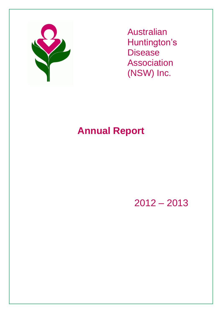

Australian Huntington's **Disease** Association (NSW) Inc.

# **Annual Report**

# 2012 – 2013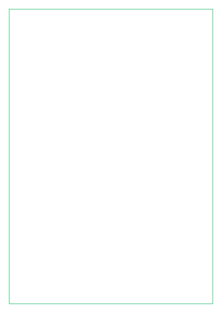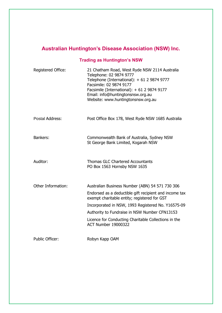# **Australian Huntington's Disease Association (NSW) Inc.**

## **Trading as Huntington's NSW**

| Registered Office:     | 21 Chatham Road, West Ryde NSW 2114 Australia<br>Telephone: 02 9874 9777<br>Telephone (International): $+61$ 2 9874 9777<br>Facsimile: 02 9874 9177<br>Facsimile (International): $+ 61 2 9874 9177$<br>Email: info@huntingtonsnsw.org.au<br>Website: www.huntingtonsnsw.org.au |
|------------------------|---------------------------------------------------------------------------------------------------------------------------------------------------------------------------------------------------------------------------------------------------------------------------------|
| Postal Address:        | Post Office Box 178, West Ryde NSW 1685 Australia                                                                                                                                                                                                                               |
| Bankers:               | Commonwealth Bank of Australia, Sydney NSW<br>St George Bank Limited, Kogarah NSW                                                                                                                                                                                               |
| Auditor:               | <b>Thomas GLC Chartered Accountants</b><br>PO Box 1563 Hornsby NSW 1635                                                                                                                                                                                                         |
| Other Information:     | Australian Business Number (ABN) 54 571 730 306                                                                                                                                                                                                                                 |
|                        | Endorsed as a deductible gift recipient and income tax<br>exempt charitable entity; registered for GST                                                                                                                                                                          |
|                        | Incorporated in NSW, 1993 Registered No. Y16575-09                                                                                                                                                                                                                              |
|                        | Authority to Fundraise in NSW Number CFN13153                                                                                                                                                                                                                                   |
|                        | Licence for Conducting Charitable Collections in the<br><b>ACT Number 19000322</b>                                                                                                                                                                                              |
| <b>Public Officer:</b> | Robyn Kapp OAM                                                                                                                                                                                                                                                                  |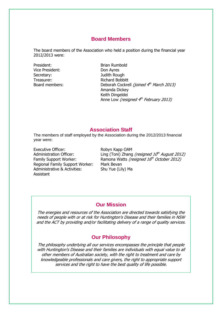## **Board Members**

The board members of the Association who held a position during the financial year 2012/2013 were:

Vice President: Don Ayres Secretary: Secretary: Secretary: 300 and  $\sim$  300 and  $\sim$  300 and  $\sim$  300 and  $\sim$  300 and  $\sim$  300 and  $\sim$  300 and  $\sim$  300 and  $\sim$  300 and  $\sim$  300 and  $\sim$  300 and  $\sim$  300 and  $\sim$  300 and  $\sim$  300 and  $\sim$  300 and Treasurer: Richard Bobbitt

President: Brian Rumbold Board members: Deborah Cockrell *(joined 4<sup>th</sup> March 2013)* Amanda Dickey Keith Dingeldei Anne Low *(resigned 4<sup>th</sup> February 2013)* 

### **Association Staff**

The members of staff employed by the Association during the 2012/2013 financial year were:

Executive Officer: Robyn Kapp OAM Regional Family Support Worker: Mark Bevan Administrative & Activities: Shu Yue (Lily) Ma Assistant

Administration Officer: Ling (Toni) Zhang (resigned 10<sup>th</sup> August 2012) Family Support Worker: Ramona Watts (resigned 16<sup>th</sup> October 2012)

## **Our Mission**

The energies and resources of the Association are directed towards satisfying the needs of people with or at risk for Huntington's Disease and their families in NSW and the ACT by providing and/or facilitating delivery of a range of quality services.

## **Our Philosophy**

The philosophy underlying all our services encompasses the principle that people with Huntington's Disease and their families are individuals with equal value to all other members of Australian society, with the right to treatment and care by knowledgeable professionals and care givers, the right to appropriate support services and the right to have the best quality of life possible.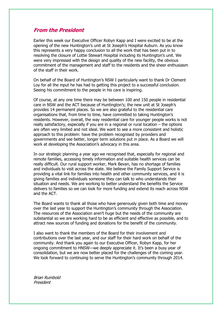## **From the President**

Earlier this week our Executive Officer Robyn Kapp and I were excited to be at the opening of the new Huntington's unit at St Joseph's Hospital Auburn. As you know this represents a very happy conclusion to all the work that has been put in to resolving the closure of Lottie Stewart Hospital including its Huntington's unit. We were very impressed with the design and quality of the new facility, the obvious commitment of the management and staff to the residents and the sheer enthusiasm of the staff in their work.

On behalf of the Board of Huntington's NSW I particularly want to thank Dr Clement Loy for all the input he has had to getting this project to a successful conclusion. Seeing his commitment to the people in his care is inspiring.

Of course, at any one time there may be between 100 and 150 people in residential care in NSW and the ACT because of Huntington's; the new unit at St Joseph's provides 14 permanent places. So we are also grateful to the residential care organisations that, from time to time, have committed to taking Huntington's residents. However, overall, the way residential care for younger people works is not really satisfactory, especially if you are in a regional or rural location – the options are often very limited and not ideal. We want to see a more consistent and holistic approach to this problem: have the problem recognised by providers and governments and see better, longer term solutions put in place. As a Board we will work at developing the Association's advocacy in this area.

In our strategic planning a year ago we recognised that, especially for regional and remote families, accessing timely information and suitable health services can be really difficult. Our rural support worker, Mark Bevan, has no shortage of families and individuals to visit across the state. We believe the Family Support Service is providing a vital link for families into health and other community services, and it is giving families and individuals someone they can talk to who understands their situation and needs. We are working to better understand the benefits the Service delivers to families so we can look for more funding and extend its reach across NSW and the ACT.

The Board wants to thank all those who have generously given both time and money over the last year to support the Huntington's community through the Association. The resources of the Association aren't huge but the needs of the community are substantial so we are working hard to be as efficient and effective as possible, and to attract new sources of funding and donations for the benefit of the community.

I also want to thank the members of the Board for their involvement and contributions over the last year, and our staff for their hard work on behalf of the community. And thank you again to our Executive Officer, Robyn Kapp, for her ongoing commitment to HNSW—we deeply appreciate it. It's been a busy year of consolidation, but we are now better placed for the challenges of the coming year. We look forward to continuing to serve the Huntington's community through 2014.

Brian Rumbold President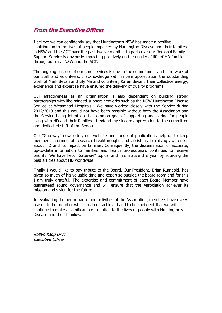## **From the Executive Officer**

I believe we can confidently say that Huntington's NSW has made a positive contribution to the lives of people impacted by Huntington Disease and their families in NSW and the ACT over the past twelve months. In particular our Regional Family Support Service is obviously impacting positively on the quality of life of HD families throughout rural NSW and the ACT.

The ongoing success of our core services is due to the commitment and hard work of our staff and volunteers. I acknowledge with sincere appreciation the outstanding work of Mark Bevan and Lily Ma and volunteer, Karen Bevan. Their collective energy, experience and expertise have ensured the delivery of quality programs.

Our effectiveness as an organisation is also dependent on building strong partnerships with like-minded support networks such as the NSW Huntington Disease Service at Westmead Hospitals. We have worked closely with the Service during 2012/2013 and this would not have been possible without both the Association and the Service being intent on the common goal of supporting and caring for people living with HD and their families. I extend my sincere appreciation to the committed and dedicated staff of the Service.

Our "Gateway" newsletter, our website and range of publications help us to keep members informed of research breakthroughs and assist us in raising awareness about HD and its impact on families. Consequently, the dissemination of accurate, up-to-date information to families and health professionals continues to receive priority. We have kept "Gateway" topical and informative this year by sourcing the best articles about HD worldwide.

Finally I would like to pay tribute to the Board. Our President, Brian Rumbold, has given so much of his valuable time and expertise outside the board room and for this I am truly grateful. The expertise and commitment of each Board Member have guaranteed sound governance and will ensure that the Association achieves its mission and vision for the future.

In evaluating the performance and activities of the Association, members have every reason to be proud of what has been achieved and to be confident that we will continue to make a significant contribution to the lives of people with Huntington's Disease and their families.

Robyn Kapp OAM Executive Officer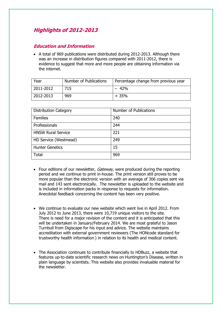## **Highlights of 2012-2013**

### **Education and Information**

• A total of 969 publications were distributed during 2012-2013. Although there was an increase in distribution figures compared with 2011-2012, there is evidence to suggest that more and more people are obtaining information via the internet.

| Year      | Number of Publications | Percentage change from previous year |
|-----------|------------------------|--------------------------------------|
| 2011-2012 | 715                    | $-42%$                               |
| 2012-2013 | 969                    | $+35%$                               |

| <b>Distribution Category</b> | <b>Number of Publications</b> |
|------------------------------|-------------------------------|
| <b>Families</b>              | 240                           |
| Professionals                | 244                           |
| <b>HNSW Rural Service</b>    | 221                           |
| HD Service (Westmead)        | 249                           |
| <b>Hunter Genetics</b>       | 15                            |
| <b>Total</b>                 | 969                           |

- Four editions of our newsletter, Gateway, were produced during the reporting period and we continue to print in-house. The print version still proves to be more popular than the electronic version with an average of 306 copies sent via mail and 143 sent electronically. The newsletter is uploaded to the website and is included in information packs in response to requests for information. Anecdotal feedback concerning the content has been very positive.
- We continue to evaluate our new website which went live in April 2012. From July 2012 to June 2013, there were 10,719 unique visitors to the site. There is need for a major revision of the content and it is anticipated that this will be undertaken in January/February 2014. We are most grateful to Jason Turnbull from Digiscape for his input and advice. The website maintains accreditation with external government reviewers (The [HONcode standard for](http://www.healthonnet.org/HONcode/Conduct.html)  [trustworthy health](http://www.healthonnet.org/HONcode/Conduct.html) information.) in relation to its health and medical content.
- The Association continues to contribute financially to HDBuzz, a website that features up-to-date scientific research news on Huntington's Disease, written in plain language by scientists. This website also provides invaluable material for the newsletter.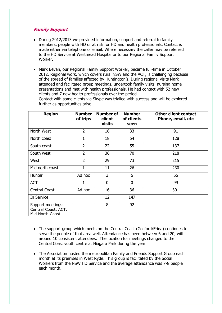## **Family Support**

- During 2012/2013 we provided information, support and referral to family members, people with HD or at risk for HD and health professionals. Contact is made either via telephone or email. Where necessary the caller may be referred to the HD Service at Westmead Hospital or to our Regional Family Support Worker.
- Mark Bevan, our Regional Family Support Worker, became full-time in October 2012. Regional work, which covers rural NSW and the ACT, is challenging because of the spread of families affected by Huntington's. During regional visits Mark attended and facilitated group meetings, undertook family visits, nursing home presentations and met with health professionals. He had contact with 52 new clients and 7 new health professionals over the period.

Contact with some clients via Skype was trialled with success and will be explored further as opportunities arise.

| <b>Region</b>                                               | <b>Number</b><br>of trips | <b>Number of</b><br>client<br>visits | <b>Number</b><br>of clients<br>seen | <b>Other client contact</b><br>Phone, email, etc |
|-------------------------------------------------------------|---------------------------|--------------------------------------|-------------------------------------|--------------------------------------------------|
| North West                                                  | $\overline{2}$            | 16                                   | 33                                  | 91                                               |
| North coast                                                 | 1                         | 18                                   | 54                                  | 128                                              |
| South coast                                                 | $\overline{2}$            | 22                                   | 55                                  | 137                                              |
| South west                                                  | $\overline{2}$            | 36                                   | 70                                  | 218                                              |
| West                                                        | $\overline{2}$            | 29                                   | 73                                  | 215                                              |
| Mid north coast                                             | $\mathbf 1$               | 11                                   | 26                                  | 230                                              |
| Hunter                                                      | Ad hoc                    | 3                                    | 6                                   | 66                                               |
| <b>ACT</b>                                                  | 1                         | $\overline{0}$                       | $\mathbf 0$                         | 99                                               |
| <b>Central Coast</b>                                        | Ad hoc                    | 16                                   | 36                                  | 301                                              |
| In Service                                                  |                           | 12                                   | 147                                 |                                                  |
| Support meetings:<br>Central Coast, ACT,<br>Mid North Coast |                           | 8                                    | 92                                  |                                                  |

- The support group which meets on the Central Coast (Gosford/Erina) continues to serve the people of that area well. Attendance has been between 6 and 20, with around 10 consistent attendees. The location for meetings changed to the Central Coast youth centre at Niagara Park during the year.
- The Association hosted the metropolitan Family and Friends Support Group each month at its premises in West Ryde. This group is facilitated by the Social Workers from the NSW HD Service and the average attendance was 7-8 people each month.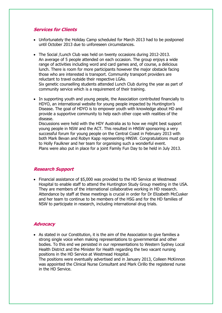## **Services for Clients**

- Unfortunately the Holiday Camp scheduled for March 2013 had to be postponed until October 2013 due to unforeseen circumstances.
- The Social / Lunch Club was held on twenty occasions during 2012-2013. An average of 5 people attended on each occasion. The group enjoys a wide range of activities including word and card games and, of course, a delicious lunch. There is room for more participants however the major obstacle facing those who are interested is transport. Community transport providers are reluctant to travel outside their respective LGAs. Six genetic counselling students attended Lunch Club during the year as part of

community service which is a requirement of their training.

 In supporting youth and young people, the Association contributed financially to HDYO, an international website for young people impacted by Huntington's Disease. The goal of HDYO is to empower youth with knowledge about HD and provide a supportive community to help each other cope with realities of the disease.

Discussions were held with the HDY Australia as to how we might best support young people in NSW and the ACT. This resulted in HNSW sponsoring a very successful forum for young people on the Central Coast in February 2013 with both Mark Bevan and Robyn Kapp representing HNSW. Congratulations must go to Holly Faulkner and her team for organising such a wonderful event. Plans were also put in place for a joint Family Fun Day to be held in July 2013.

#### **Research Support**

• Financial assistance of \$5,000 was provided to the HD Service at Westmead Hospital to enable staff to attend the Huntington Study Group meeting in the USA. They are members of the international collaborative working in HD research. Attendance by staff at these meetings is crucial in order for Dr Elizabeth McCusker and her team to continue to be members of the HSG and for the HD families of NSW to participate in research, including international drug trials.

#### **Advocacy**

 As stated in our Constitution, it is the aim of the Association to give families a strong single voice when making representations to governmental and other bodies. To this end we persisted in our representations to Western Sydney Local Health District and the Minister for Health regarding the two vacant nursing positions in the HD Service at Westmead Hospital. The positions were eventually advertised and in January 2013, Colleen McKinnon

was appointed the Clinical Nurse Consultant and Mark Cirillo the registered nurse in the HD Service.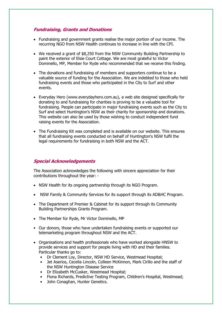## **Fundraising, Grants and Donations**

- Fundraising and government grants realise the major portion of our income. The recurring NGO from NSW Health continues to increase in line with the CPI.
- We received a grant of \$8,250 from the NSW Community Building Partnership to paint the exterior of Elsie Court Cottage. We are most grateful to Victor Dominello, MP, Member for Ryde who recommended that we receive this finding.
- The donations and fundraising of members and supporters continue to be a valuable source of funding for the Association. We are indebted to those who held fundraising events and those who participated in the City to Surf and other events.
- Everyday Hero (www.everydayhero.com.au), a web site designed specifically for donating to and fundraising for charities is proving to be a valuable tool for fundraising. People can participate in major fundraising events such as the City to Surf and select Huntington's NSW as their charity for sponsorship and donations. This website can also be used by those wishing to conduct independent fund raising events for the Association.
- The Fundraising Kit was completed and is available on our website. This ensures that all fundraising events conducted on behalf of Huntington's NSW fulfil the legal requirements for fundraising in both NSW and the ACT.

## **Special Acknowledgements**

The Association acknowledges the following with sincere appreciation for their contributions throughout the year: -

- NSW Health for its ongoing partnership through its NGO Program.
- NSW Family & Community Services for its support through its AD&HC Program.
- The Department of Premier & Cabinet for its support through its Community Building Partnerships Grants Program.
- The Member for Ryde, Mr Victor Dominello, MP
- Our donors, those who have undertaken fundraising events or supported our telemarketing program throughout NSW and the ACT.
- Organisations and health professionals who have worked alongside HNSW to provide services and support for people living with HD and their families. Particular thanks go to:
	- Dr Clement Loy, Director, NSW HD Service, Westmead Hospital;
	- Jet Aserios, Cecelia Lincoln, Colleen McKinnon, Mark Cirillo and the staff of the NSW Huntington Disease Service
	- Dr Elizabeth McCusker, Westmead Hospital;
	- Fiona Richards, Predictive Testing Program, Children's Hospital, Westmead;
	- John Conaghan, Hunter Genetics.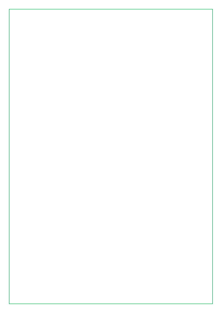